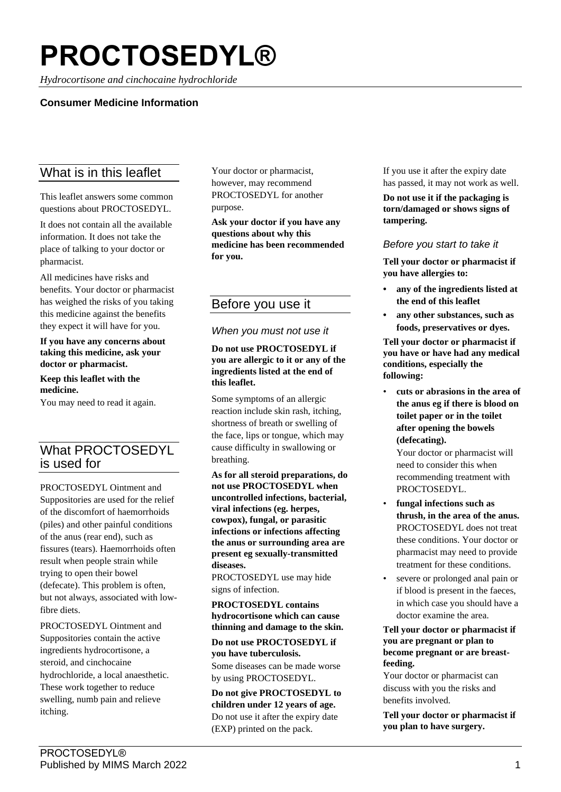# **PROCTOSEDYL®**

*Hydrocortisone and cinchocaine hydrochloride*

## **Consumer Medicine Information**

# What is in this leaflet

This leaflet answers some common questions about PROCTOSEDYL.

It does not contain all the available information. It does not take the place of talking to your doctor or pharmacist.

All medicines have risks and benefits. Your doctor or pharmacist has weighed the risks of you taking this medicine against the benefits they expect it will have for you.

**If you have any concerns about taking this medicine, ask your doctor or pharmacist.**

**Keep this leaflet with the medicine.**

You may need to read it again.

# What PROCTOSEDYL is used for

PROCTOSEDYL Ointment and Suppositories are used for the relief of the discomfort of haemorrhoids (piles) and other painful conditions of the anus (rear end), such as fissures (tears). Haemorrhoids often result when people strain while trying to open their bowel (defecate). This problem is often, but not always, associated with lowfibre diets.

PROCTOSEDYL Ointment and Suppositories contain the active ingredients hydrocortisone, a steroid, and cinchocaine hydrochloride, a local anaesthetic. These work together to reduce swelling, numb pain and relieve itching.

Your doctor or pharmacist, however, may recommend PROCTOSEDYL for another purpose.

**Ask your doctor if you have any questions about why this medicine has been recommended for you.**

# Before you use it

#### *When you must not use it*

#### **Do not use PROCTOSEDYL if you are allergic to it or any of the ingredients listed at the end of this leaflet.**

Some symptoms of an allergic reaction include skin rash, itching, shortness of breath or swelling of the face, lips or tongue, which may cause difficulty in swallowing or breathing.

**As for all steroid preparations, do not use PROCTOSEDYL when uncontrolled infections, bacterial, viral infections (eg. herpes, cowpox), fungal, or parasitic infections or infections affecting the anus or surrounding area are present eg sexually-transmitted diseases.**

PROCTOSEDYL use may hide signs of infection.

**PROCTOSEDYL contains hydrocortisone which can cause thinning and damage to the skin.**

**Do not use PROCTOSEDYL if you have tuberculosis.**

Some diseases can be made worse by using PROCTOSEDYL.

**Do not give PROCTOSEDYL to children under 12 years of age.** Do not use it after the expiry date (EXP) printed on the pack.

If you use it after the expiry date has passed, it may not work as well.

**Do not use it if the packaging is torn/damaged or shows signs of tampering.**

#### *Before you start to take it*

**Tell your doctor or pharmacist if you have allergies to:**

- **• any of the ingredients listed at the end of this leaflet**
- **• any other substances, such as foods, preservatives or dyes.**

**Tell your doctor or pharmacist if you have or have had any medical conditions, especially the following:**

• **cuts or abrasions in the area of the anus eg if there is blood on toilet paper or in the toilet after opening the bowels (defecating).**

Your doctor or pharmacist will need to consider this when recommending treatment with PROCTOSEDYL.

- **fungal infections such as thrush, in the area of the anus.** PROCTOSEDYL does not treat these conditions. Your doctor or pharmacist may need to provide treatment for these conditions.
- severe or prolonged anal pain or if blood is present in the faeces, in which case you should have a doctor examine the area.

**Tell your doctor or pharmacist if you are pregnant or plan to become pregnant or are breastfeeding.**

Your doctor or pharmacist can discuss with you the risks and benefits involved.

**Tell your doctor or pharmacist if you plan to have surgery.**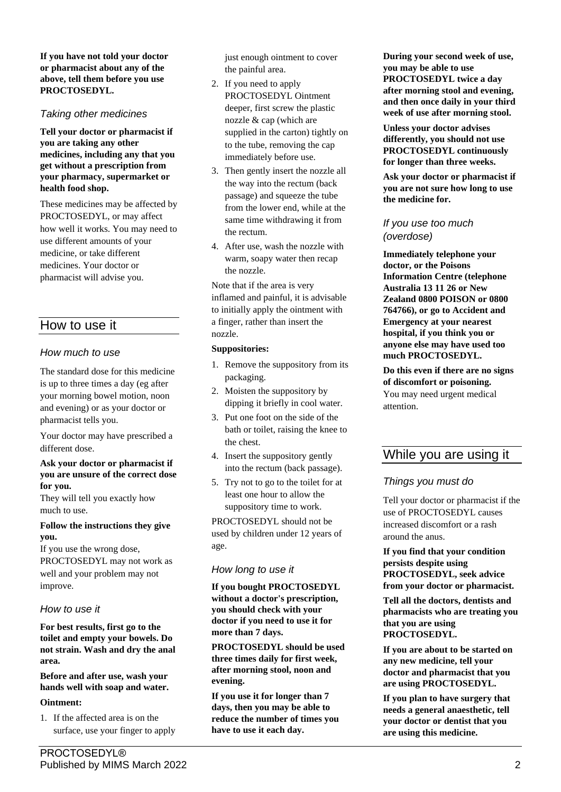**If you have not told your doctor or pharmacist about any of the above, tell them before you use PROCTOSEDYL.**

#### *Taking other medicines*

**Tell your doctor or pharmacist if you are taking any other medicines, including any that you get without a prescription from your pharmacy, supermarket or health food shop.**

These medicines may be affected by PROCTOSEDYL, or may affect how well it works. You may need to use different amounts of your medicine, or take different medicines. Your doctor or pharmacist will advise you.

## How to use it

#### *How much to use*

The standard dose for this medicine is up to three times a day (eg after your morning bowel motion, noon and evening) or as your doctor or pharmacist tells you.

Your doctor may have prescribed a different dose.

#### **Ask your doctor or pharmacist if you are unsure of the correct dose for you.**

They will tell you exactly how much to use.

#### **Follow the instructions they give you.**

If you use the wrong dose, PROCTOSEDYL may not work as well and your problem may not improve.

#### *How to use it*

**For best results, first go to the toilet and empty your bowels. Do not strain. Wash and dry the anal area.**

**Before and after use, wash your hands well with soap and water.**

#### **Ointment:**

1. If the affected area is on the surface, use your finger to apply just enough ointment to cover the painful area.

- 2. If you need to apply PROCTOSEDYL Ointment deeper, first screw the plastic nozzle & cap (which are supplied in the carton) tightly on to the tube, removing the cap immediately before use.
- 3. Then gently insert the nozzle all the way into the rectum (back passage) and squeeze the tube from the lower end, while at the same time withdrawing it from the rectum.
- 4. After use, wash the nozzle with warm, soapy water then recap the nozzle.

Note that if the area is very inflamed and painful, it is advisable to initially apply the ointment with a finger, rather than insert the nozzle.

#### **Suppositories:**

- 1. Remove the suppository from its packaging.
- 2. Moisten the suppository by dipping it briefly in cool water.
- 3. Put one foot on the side of the bath or toilet, raising the knee to the chest.
- 4. Insert the suppository gently into the rectum (back passage).
- 5. Try not to go to the toilet for at least one hour to allow the suppository time to work.

PROCTOSEDYL should not be used by children under 12 years of age.

#### *How long to use it*

**If you bought PROCTOSEDYL without a doctor's prescription, you should check with your doctor if you need to use it for more than 7 days.**

**PROCTOSEDYL should be used three times daily for first week, after morning stool, noon and evening.**

**If you use it for longer than 7 days, then you may be able to reduce the number of times you have to use it each day.**

**During your second week of use, you may be able to use PROCTOSEDYL twice a day after morning stool and evening, and then once daily in your third week of use after morning stool.**

**Unless your doctor advises differently, you should not use PROCTOSEDYL continuously for longer than three weeks.**

**Ask your doctor or pharmacist if you are not sure how long to use the medicine for.**

#### *If you use too much (overdose)*

**Immediately telephone your doctor, or the Poisons Information Centre (telephone Australia 13 11 26 or New Zealand 0800 POISON or 0800 764766), or go to Accident and Emergency at your nearest hospital, if you think you or anyone else may have used too much PROCTOSEDYL.**

**Do this even if there are no signs of discomfort or poisoning.** You may need urgent medical attention.

# While you are using it

## *Things you must do*

Tell your doctor or pharmacist if the use of PROCTOSEDYL causes increased discomfort or a rash around the anus.

**If you find that your condition persists despite using PROCTOSEDYL, seek advice from your doctor or pharmacist.**

**Tell all the doctors, dentists and pharmacists who are treating you that you are using PROCTOSEDYL.**

**If you are about to be started on any new medicine, tell your doctor and pharmacist that you are using PROCTOSEDYL.**

**If you plan to have surgery that needs a general anaesthetic, tell your doctor or dentist that you are using this medicine.**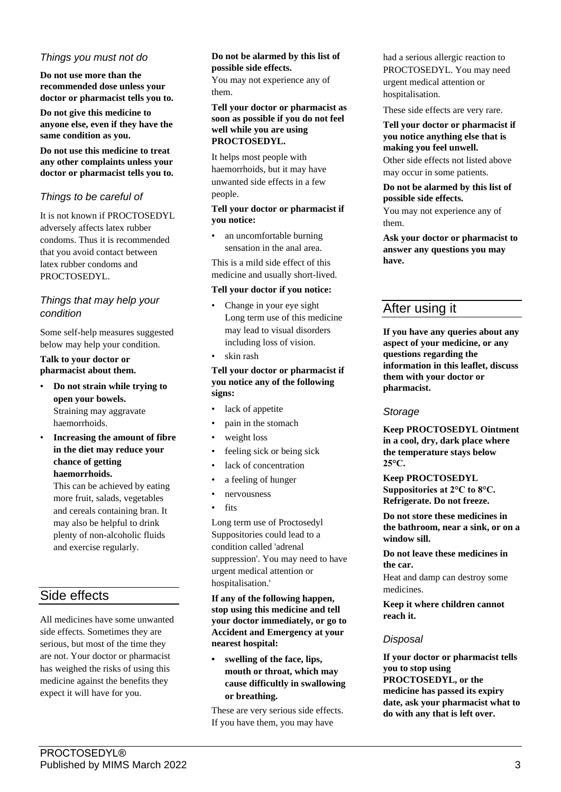### *Things you must not do*

**Do not use more than the recommended dose unless your doctor or pharmacist tells you to.**

**Do not give this medicine to anyone else, even if they have the same condition as you.**

**Do not use this medicine to treat any other complaints unless your doctor or pharmacist tells you to.**

#### *Things to be careful of*

It is not known if PROCTOSEDYL adversely affects latex rubber condoms. Thus it is recommended that you avoid contact between latex rubber condoms and PROCTOSEDYL.

## *Things that may help your condition*

Some self-help measures suggested below may help your condition.

#### **Talk to your doctor or pharmacist about them.**

- **Do not strain while trying to open your bowels.** Straining may aggravate haemorrhoids.
- **Increasing the amount of fibre in the diet may reduce your chance of getting haemorrhoids.**

This can be achieved by eating more fruit, salads, vegetables and cereals containing bran. It may also be helpful to drink plenty of non-alcoholic fluids and exercise regularly.

# Side effects

All medicines have some unwanted side effects. Sometimes they are serious, but most of the time they are not. Your doctor or pharmacist has weighed the risks of using this medicine against the benefits they expect it will have for you.

#### **Do not be alarmed by this list of possible side effects.**

You may not experience any of them.

#### **Tell your doctor or pharmacist as soon as possible if you do not feel well while you are using PROCTOSEDYL.**

It helps most people with haemorrhoids, but it may have unwanted side effects in a few people.

#### **Tell your doctor or pharmacist if you notice:**

• an uncomfortable burning sensation in the anal area.

This is a mild side effect of this medicine and usually short-lived.

#### **Tell your doctor if you notice:**

- Change in your eye sight Long term use of this medicine may lead to visual disorders including loss of vision.
- skin rash

#### **Tell your doctor or pharmacist if you notice any of the following signs:**

- lack of appetite
- pain in the stomach
- weight loss
- feeling sick or being sick
- lack of concentration
- a feeling of hunger
- nervousness
- fits

Long term use of Proctosedyl Suppositories could lead to a condition called 'adrenal suppression'. You may need to have urgent medical attention or hospitalisation.'

**If any of the following happen, stop using this medicine and tell your doctor immediately, or go to Accident and Emergency at your nearest hospital:**

**• swelling of the face, lips, mouth or throat, which may cause difficultly in swallowing or breathing.**

These are very serious side effects. If you have them, you may have

had a serious allergic reaction to PROCTOSEDYL. You may need urgent medical attention or hospitalisation.

These side effects are very rare.

**Tell your doctor or pharmacist if you notice anything else that is making you feel unwell.** Other side effects not listed above may occur in some patients.

#### **Do not be alarmed by this list of possible side effects.**

You may not experience any of them.

**Ask your doctor or pharmacist to answer any questions you may have.**

# After using it

**If you have any queries about any aspect of your medicine, or any questions regarding the information in this leaflet, discuss them with your doctor or pharmacist.**

#### *Storage*

**Keep PROCTOSEDYL Ointment in a cool, dry, dark place where the temperature stays below 25°C.**

**Keep PROCTOSEDYL Suppositories at 2°C to 8°C. Refrigerate. Do not freeze.**

**Do not store these medicines in the bathroom, near a sink, or on a window sill.**

**Do not leave these medicines in the car.**

Heat and damp can destroy some medicines.

**Keep it where children cannot reach it.**

#### *Disposal*

**If your doctor or pharmacist tells you to stop using PROCTOSEDYL, or the medicine has passed its expiry date, ask your pharmacist what to do with any that is left over.**